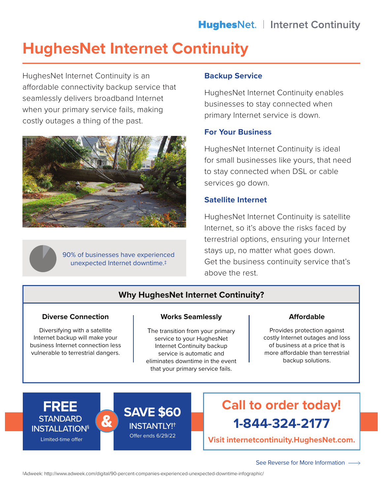# **HughesNet Internet Continuity**

HughesNet Internet Continuity is an affordable connectivity backup service that seamlessly delivers broadband Internet when your primary service fails, making costly outages a thing of the past.



90% of businesses have experienced unexpected Internet downtime.‡

# **Backup Service**

HughesNet Internet Continuity enables businesses to stay connected when primary Internet service is down.

# **For Your Business**

HughesNet Internet Continuity is ideal for small businesses like yours, that need to stay connected when DSL or cable services go down.

# **Satellite Internet**

HughesNet Internet Continuity is satellite Internet, so it's above the risks faced by terrestrial options, ensuring your Internet stays up, no matter what goes down. Get the business continuity service that's above the rest.

# **Why HughesNet Internet Continuity?**

# **Diverse Connection**

Diversifying with a satellite Internet backup will make your business Internet connection less vulnerable to terrestrial dangers.

#### **Works Seamlessly**

The transition from your primary service to your HughesNet Internet Continuity backup service is automatic and eliminates downtime in the event that your primary service fails.

#### **Affordable**

Provides protection against costly Internet outages and loss of business at a price that is more affordable than terrestrial backup solutions.





# **1-844-324-2177 Call to order today!**

**Visit internetcontinuity.HughesNet.com.**